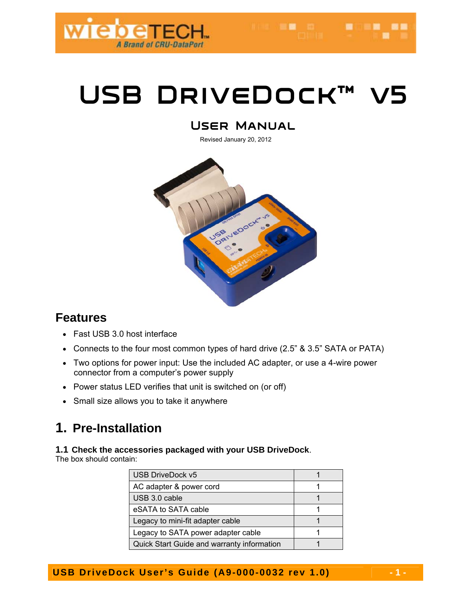

HOME REAL COMMUNICATION

# USB DRIVEDOCK™

## **User Manual**

Revised January 20, 2012



## **Features**

- Fast USB 3.0 host interface
- Connects to the four most common types of hard drive (2.5" & 3.5" SATA or PATA)
- Two options for power input: Use the included AC adapter, or use a 4-wire power connector from a computer's power supply
- Power status LED verifies that unit is switched on (or off)
- Small size allows you to take it anywhere

# **1. Pre-Installation**

### **1.1 Check the accessories packaged with your USB DriveDock**.

The box should contain:

| USB DriveDock v5                           |  |
|--------------------------------------------|--|
| AC adapter & power cord                    |  |
| USB 3.0 cable                              |  |
| eSATA to SATA cable                        |  |
| Legacy to mini-fit adapter cable           |  |
| Legacy to SATA power adapter cable         |  |
| Quick Start Guide and warranty information |  |

**USB DriveDock User's Guide (A9-000-0032 rev 1.0)** 4-1-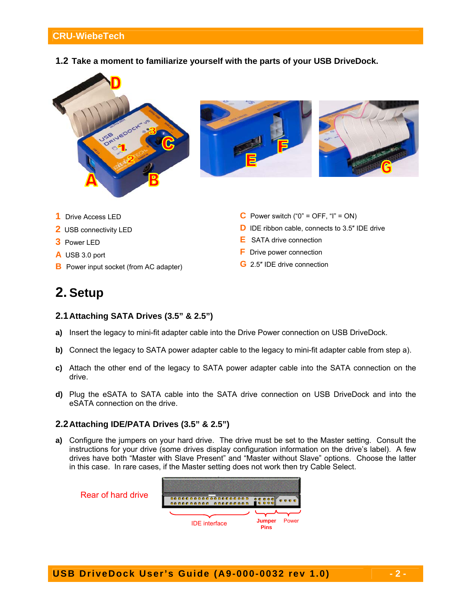#### **CRU-WiebeTech**

**1.2 Take a moment to familiarize yourself with the parts of your USB DriveDock.**



**C** Power switch (" $0$ " = OFF, " $I$ " = ON)

**E** SATA drive connection **F** Drive power connection **G** 2.5″ IDE drive connection

**D** IDE ribbon cable, connects to 3.5" IDE drive

- **1** Drive Access LED
- **2** USB connectivity LED
- **3** Power LED
- **A** USB 3.0 port
- **B** Power input socket (from AC adapter)

## **2. Setup**

- **2.1 Attaching SATA Drives (3.5" & 2.5")**
- **a)** Insert the legacy to mini-fit adapter cable into the Drive Power connection on USB DriveDock.
- **b)** Connect the legacy to SATA power adapter cable to the legacy to mini-fit adapter cable from step a).
- **c)** Attach the other end of the legacy to SATA power adapter cable into the SATA connection on the drive.
- **d)** Plug the eSATA to SATA cable into the SATA drive connection on USB DriveDock and into the eSATA connection on the drive.

#### **2.2 Attaching IDE/PATA Drives (3.5" & 2.5")**

**a)** Configure the jumpers on your hard drive. The drive must be set to the Master setting. Consult the instructions for your drive (some drives display configuration information on the drive's label). A few drives have both "Master with Slave Present" and "Master without Slave" options. Choose the latter in this case. In rare cases, if the Master setting does not work then try Cable Select.

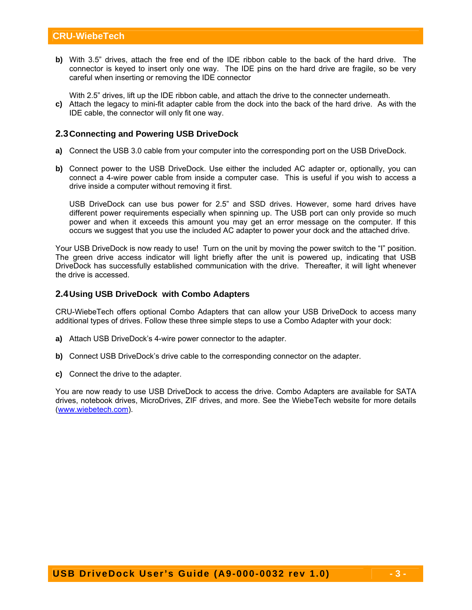**b)** With 3.5" drives, attach the free end of the IDE ribbon cable to the back of the hard drive. The connector is keyed to insert only one way. The IDE pins on the hard drive are fragile, so be very careful when inserting or removing the IDE connector

With 2.5" drives, lift up the IDE ribbon cable, and attach the drive to the connecter underneath.

**c)** Attach the legacy to mini-fit adapter cable from the dock into the back of the hard drive. As with the IDE cable, the connector will only fit one way.

#### **2.3 Connecting and Powering USB DriveDock**

- **a)** Connect the USB 3.0 cable from your computer into the corresponding port on the USB DriveDock.
- **b)** Connect power to the USB DriveDock. Use either the included AC adapter or, optionally, you can connect a 4-wire power cable from inside a computer case. This is useful if you wish to access a drive inside a computer without removing it first.

USB DriveDock can use bus power for 2.5" and SSD drives. However, some hard drives have different power requirements especially when spinning up. The USB port can only provide so much power and when it exceeds this amount you may get an error message on the computer. If this occurs we suggest that you use the included AC adapter to power your dock and the attached drive.

Your USB DriveDock is now ready to use! Turn on the unit by moving the power switch to the "I" position. The green drive access indicator will light briefly after the unit is powered up, indicating that USB DriveDock has successfully established communication with the drive. Thereafter, it will light whenever the drive is accessed.

#### **2.4 Using USB DriveDock with Combo Adapters**

CRU-WiebeTech offers optional Combo Adapters that can allow your USB DriveDock to access many additional types of drives. Follow these three simple steps to use a Combo Adapter with your dock:

- **a)** Attach USB DriveDock's 4-wire power connector to the adapter.
- **b)** Connect USB DriveDock's drive cable to the corresponding connector on the adapter.
- **c)** Connect the drive to the adapter.

You are now ready to use USB DriveDock to access the drive. Combo Adapters are available for SATA drives, notebook drives, MicroDrives, ZIF drives, and more. See the WiebeTech website for more details (www.wiebetech.com).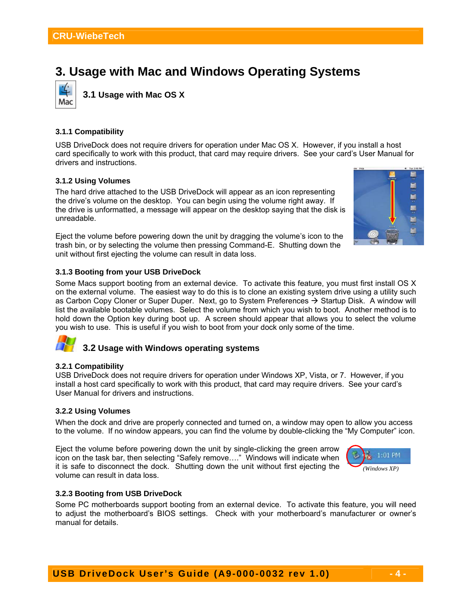## **3. Usage with Mac and Windows Operating Systems**



**3.1 Usage with Mac OS X**

#### **3.1.1 Compatibility**

USB DriveDock does not require drivers for operation under Mac OS X. However, if you install a host card specifically to work with this product, that card may require drivers. See your card's User Manual for drivers and instructions.

#### **3.1.2 Using Volumes**

The hard drive attached to the USB DriveDock will appear as an icon representing the drive's volume on the desktop. You can begin using the volume right away. If the drive is unformatted, a message will appear on the desktop saying that the disk is unreadable.

Eject the volume before powering down the unit by dragging the volume's icon to the trash bin, or by selecting the volume then pressing Command-E. Shutting down the unit without first ejecting the volume can result in data loss.



#### **3.1.3 Booting from your USB DriveDock**

Some Macs support booting from an external device. To activate this feature, you must first install OS X on the external volume. The easiest way to do this is to clone an existing system drive using a utility such as Carbon Copy Cloner or Super Duper. Next, go to System Preferences  $\rightarrow$  Startup Disk. A window will list the available bootable volumes. Select the volume from which you wish to boot. Another method is to hold down the Option key during boot up. A screen should appear that allows you to select the volume you wish to use. This is useful if you wish to boot from your dock only some of the time.



### **3.2 Usage with Windows operating systems**

#### **3.2.1 Compatibility**

USB DriveDock does not require drivers for operation under Windows XP, Vista, or 7. However, if you install a host card specifically to work with this product, that card may require drivers. See your card's User Manual for drivers and instructions.

#### **3.2.2 Using Volumes**

When the dock and drive are properly connected and turned on, a window may open to allow you access to the volume. If no window appears, you can find the volume by double-clicking the "My Computer" icon.

Eject the volume before powering down the unit by single-clicking the green arrow icon on the task bar, then selecting "Safely remove…." Windows will indicate when it is safe to disconnect the dock. Shutting down the unit without first ejecting the volume can result in data loss.



#### **3.2.3 Booting from USB DriveDock**

Some PC motherboards support booting from an external device. To activate this feature, you will need to adjust the motherboard's BIOS settings. Check with your motherboard's manufacturer or owner's manual for details.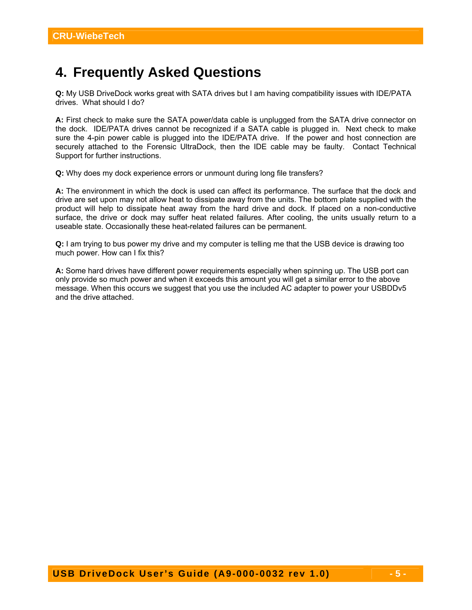# **4. Frequently Asked Questions**

**Q:** My USB DriveDock works great with SATA drives but I am having compatibility issues with IDE/PATA drives. What should I do?

**A:** First check to make sure the SATA power/data cable is unplugged from the SATA drive connector on the dock. IDE/PATA drives cannot be recognized if a SATA cable is plugged in. Next check to make sure the 4-pin power cable is plugged into the IDE/PATA drive. If the power and host connection are securely attached to the Forensic UltraDock, then the IDE cable may be faulty. Contact Technical Support for further instructions.

**Q:** Why does my dock experience errors or unmount during long file transfers?

**A:** The environment in which the dock is used can affect its performance. The surface that the dock and drive are set upon may not allow heat to dissipate away from the units. The bottom plate supplied with the product will help to dissipate heat away from the hard drive and dock. If placed on a non-conductive surface, the drive or dock may suffer heat related failures. After cooling, the units usually return to a useable state. Occasionally these heat-related failures can be permanent.

**Q:** I am trying to bus power my drive and my computer is telling me that the USB device is drawing too much power. How can I fix this?

**A:** Some hard drives have different power requirements especially when spinning up. The USB port can only provide so much power and when it exceeds this amount you will get a similar error to the above message. When this occurs we suggest that you use the included AC adapter to power your USBDDv5 and the drive attached.